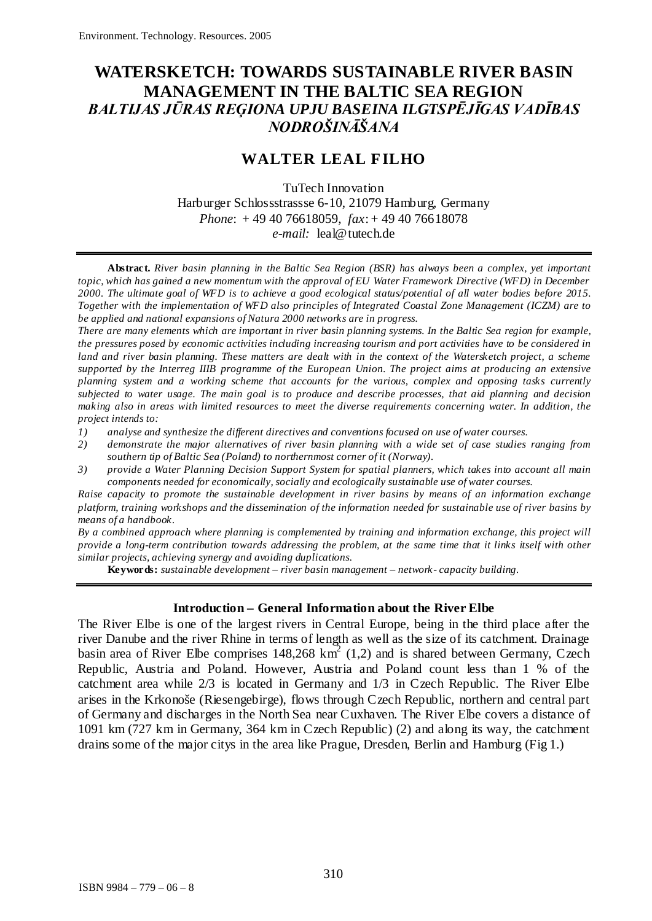# **WATERSKETCH: TOWARDS SUSTAINABLE RIVER BASIN MANAGEMENT IN THE BALTIC SEA REGION** *BALTIJAS JŪRAS REĢIONA UPJU BASEINA ILGTSPĒJĪGAS VADĪBAS NODROŠINĀŠANA*

## **WALTER LEAL FILHO**

TuTech Innovation Harburger Schlossstrassse 6-10, 21079 Hamburg, Germany *Phone*: + 49 40 76618059, *fax*: + 49 40 76618078 *e-mail:* [leal@tutech.de](mailto:leal@tutech.de)

**Abstract.** *River basin planning in the Baltic Sea Region (BSR) has always been a complex, yet important topic, which has gained a new momentum with the approval of EU Water Framework Directive (WFD) in December 2000. The ultimate goal of WFD is to achieve a good ecological status/potential of all water bodies before 2015. Together with the implementation of WFD also principles of Integrated Coastal Zone Management (ICZM) are to be applied and national expansions of Natura 2000 networks are in progress.*

*There are many elements which are important in river basin planning systems. In the Baltic Sea region for example, the pressures posed by economic activities including increasing tourism and port activities have to be considered in land and river basin planning. These matters are dealt with in the context of the Watersketch project, a scheme supported by the Interreg IIIB programme of the European Union. The project aims at producing an extensive planning system and a working scheme that accounts for the various, complex and opposing tasks currently subjected to water usage. The main goal is to produce and describe processes, that aid planning and decision making also in areas with limited resources to meet the diverse requirements concerning water. In addition, the project intends to:*

- *1) analyse and synthesize the different directives and conventions focused on use of water courses.*
- *2) demonstrate the major alternatives of river basin planning with a wide set of case studies ranging from southern tip of Baltic Sea (Poland) to northernmost corner of it (Norway).*
- *3) provide a Water Planning Decision Support System for spatial planners, which takes into account all main components needed for economically, socially and ecologically sustainable use of water courses.*

*Raise capacity to promote the sustainable development in river basins by means of an information exchange platform, training workshops and the dissemination of the information needed for sustainable use of river basins by means of a handbook.*

*By a combined approach where planning is complemented by training and information exchange, this project will provide a long-term contribution towards addressing the problem, at the same time that it links itself with other similar projects, achieving synergy and avoiding duplications.*

**Keywords:** *sustainable development – river basin management – network- capacity building.*

### **Introduction – General Information about the River Elbe**

The River Elbe is one of the largest rivers in Central Europe, being in the third place after the river Danube and the river Rhine in terms of length as well as the size of its catchment. Drainage basin area of River Elbe comprises  $148,268 \text{ km}^2$  (1,2) and is shared between Germany, Czech Republic, Austria and Poland. However, Austria and Poland count less than 1 % of the catchment area while 2/3 is located in Germany and 1/3 in Czech Republic. The River Elbe arises in the Krkonoše (Riesengebirge), flows through Czech Republic, northern and central part of Germany and discharges in the North Sea near Cuxhaven. The River Elbe covers a distance of 1091 km (727 km in Germany, 364 km in Czech Republic) (2) and along its way, the catchment drains some of the major citys in the area like Prague, Dresden, Berlin and Hamburg (Fig 1.)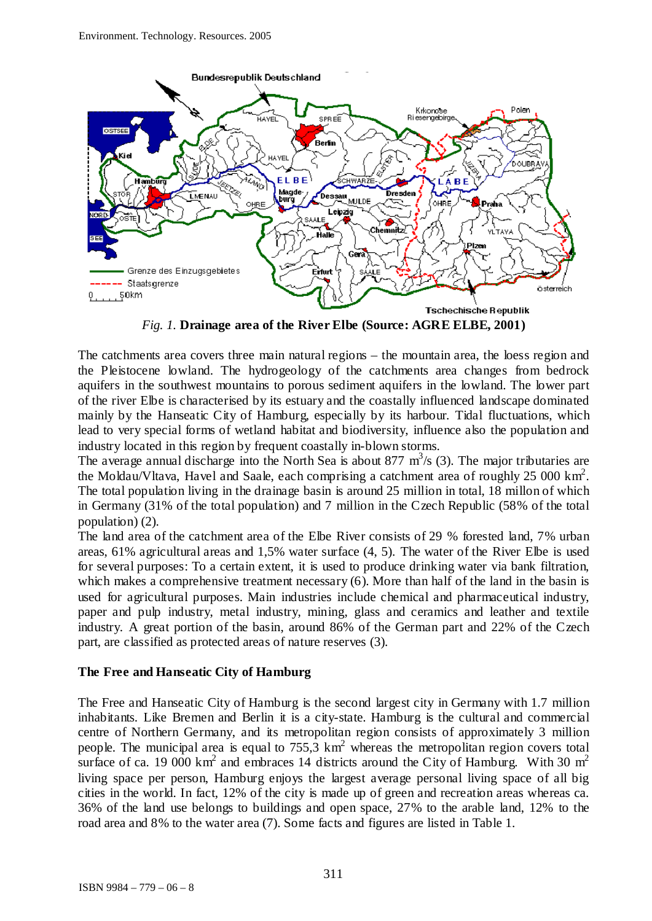

*Fig. 1.* **Drainage area of the River Elbe (Source: AGRE ELBE, 2001)**

The catchments area covers three main natural regions – the mountain area, the loess region and the Pleistocene lowland. The hydrogeology of the catchments area changes from bedrock aquifers in the southwest mountains to porous sediment aquifers in the lowland. The lower part of the river Elbe is characterised by its estuary and the coastally influenced landscape dominated mainly by the Hanseatic City of Hamburg, especially by its harbour. Tidal fluctuations, which lead to very special forms of wetland habitat and biodiversity, influence also the population and industry located in this region by frequent coastally in-blown storms.

The average annual discharge into the North Sea is about 877  $\text{m}^3\text{/s}$  (3). The major tributaries are the Moldau/Vltava, Havel and Saale, each comprising a catchment area of roughly  $25\ 000\ \text{km}^2$ . The total population living in the drainage basin is around 25 million in total, 18 millon of which in Germany (31% of the total population) and 7 million in the Czech Republic (58% of the total population) (2).

The land area of the catchment area of the Elbe River consists of 29 % forested land, 7% urban areas, 61% agricultural areas and 1,5% water surface (4, 5). The water of the River Elbe is used for several purposes: To a certain extent, it is used to produce drinking water via bank filtration, which makes a comprehensive treatment necessary (6). More than half of the land in the basin is used for agricultural purposes. Main industries include chemical and pharmaceutical industry, paper and pulp industry, metal industry, mining, glass and ceramics and leather and textile industry. A great portion of the basin, around 86% of the German part and 22% of the Czech part, are classified as protected areas of nature reserves (3).

### **The Free and Hanseatic City of Hamburg**

The Free and Hanseatic City of Hamburg is the second largest city in Germany with 1.7 million inhabitants. Like Bremen and Berlin it is a city-state. Hamburg is the cultural and commercial centre of Northern Germany, and its metropolitan region consists of approximately 3 million people. The municipal area is equal to  $755.3 \text{ km}^2$  whereas the metropolitan region covers total surface of ca. 19 000 km<sup>2</sup> and embraces 14 districts around the City of Hamburg. With 30 m<sup>2</sup> living space per person, Hamburg enjoys the largest average personal living space of all big cities in the world. In fact, 12% of the city is made up of green and recreation areas whereas ca. 36% of the land use belongs to buildings and open space, 27% to the arable land, 12% to the road area and 8% to the water area (7). Some facts and figures are listed in Table 1.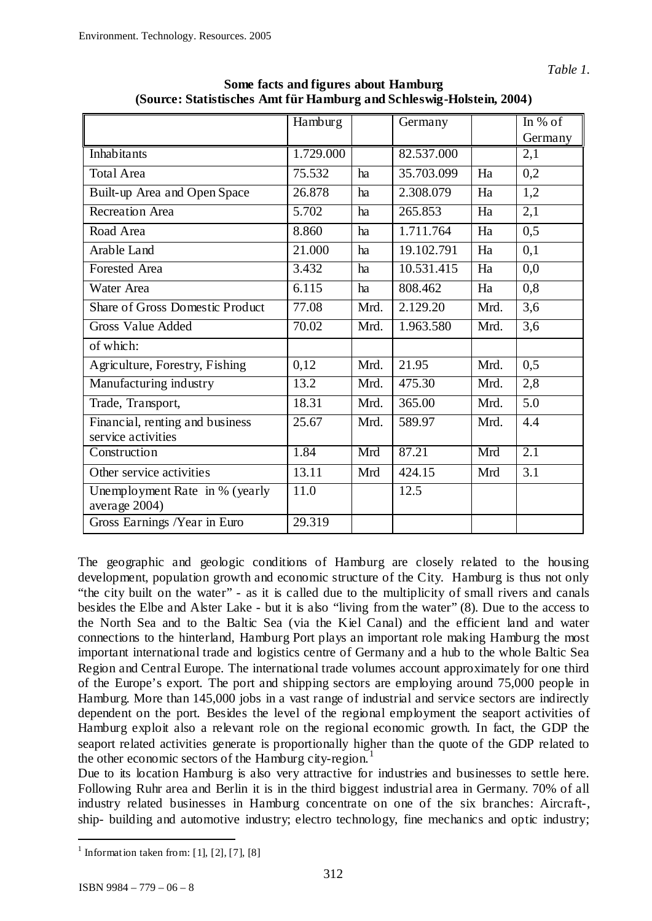|                                                       | Hamburg   |      | Germany    |      | In $%$ of        |
|-------------------------------------------------------|-----------|------|------------|------|------------------|
|                                                       |           |      |            |      | Germany          |
| Inhabitants                                           | 1.729.000 |      | 82.537.000 |      | 2,1              |
| <b>Total Area</b>                                     | 75.532    | ha   | 35.703.099 | Ha   | 0,2              |
| Built-up Area and Open Space                          | 26.878    | ha   | 2.308.079  | Ha   | 1,2              |
| <b>Recreation Area</b>                                | 5.702     | ha   | 265.853    | Ha   | 2,1              |
| Road Area                                             | 8.860     | ha   | 1.711.764  | Ha   | 0,5              |
| Arable Land                                           | 21.000    | ha   | 19.102.791 | Ha   | 0,1              |
| <b>Forested Area</b>                                  | 3.432     | ha   | 10.531.415 | Ha   | 0,0              |
| Water Area                                            | 6.115     | ha   | 808.462    | Ha   | 0,8              |
| <b>Share of Gross Domestic Product</b>                | 77.08     | Mrd. | 2.129.20   | Mrd. | 3,6              |
| Gross Value Added                                     | 70.02     | Mrd. | 1.963.580  | Mrd. | $\overline{3,6}$ |
| of which:                                             |           |      |            |      |                  |
| Agriculture, Forestry, Fishing                        | 0,12      | Mrd. | 21.95      | Mrd. | 0,5              |
| Manufacturing industry                                | 13.2      | Mrd. | 475.30     | Mrd. | 2,8              |
| Trade, Transport,                                     | 18.31     | Mrd. | 365.00     | Mrd. | 5.0              |
| Financial, renting and business<br>service activities | 25.67     | Mrd. | 589.97     | Mrd. | 4.4              |
| Construction                                          | 1.84      | Mrd  | 87.21      | Mrd  | 2.1              |
| Other service activities                              | 13.11     | Mrd  | 424.15     | Mrd  | 3.1              |
| Unemployment Rate in % (yearly<br>average 2004)       | 11.0      |      | 12.5       |      |                  |
| Gross Earnings /Year in Euro                          | 29.319    |      |            |      |                  |

**Some facts and figures about Hamburg (Source: Statistisches Amt für Hamburg and Schleswig-Holstein, 2004)**

The geographic and geologic conditions of Hamburg are closely related to the housing development, population growth and economic structure of the City. Hamburg is thus not only "the city built on the water" - as it is called due to the multiplicity of small rivers and canals besides the Elbe and Alster Lake - but it is also "living from the water" (8). Due to the access to the North Sea and to the Baltic Sea (via the Kiel Canal) and the efficient land and water connections to the hinterland, Hamburg Port plays an important role making Hamburg the most important international trade and logistics centre of Germany and a hub to the whole Baltic Sea Region and Central Europe. The international trade volumes account approximately for one third of the Europe's export. The port and shipping sectors are employing around 75,000 people in Hamburg. More than 145,000 jobs in a vast range of industrial and service sectors are indirectly dependent on the port. Besides the level of the regional employment the seaport activities of Hamburg exploit also a relevant role on the regional economic growth. In fact, the GDP the seaport related activities generate is proportionally higher than the quote of the GDP related to the other economic sectors of the Hamburg city-region.<sup>[1](#page-2-0)</sup>

Due to its location Hamburg is also very attractive for industries and businesses to settle here. Following Ruhr area and Berlin it is in the third biggest industrial area in Germany. 70% of all industry related businesses in Hamburg concentrate on one of the six branches: Aircraft-, ship- building and automotive industry; electro technology, fine mechanics and optic industry;

<span id="page-2-0"></span><sup>&</sup>lt;sup>1</sup> Information taken from: [1], [2], [7], [8]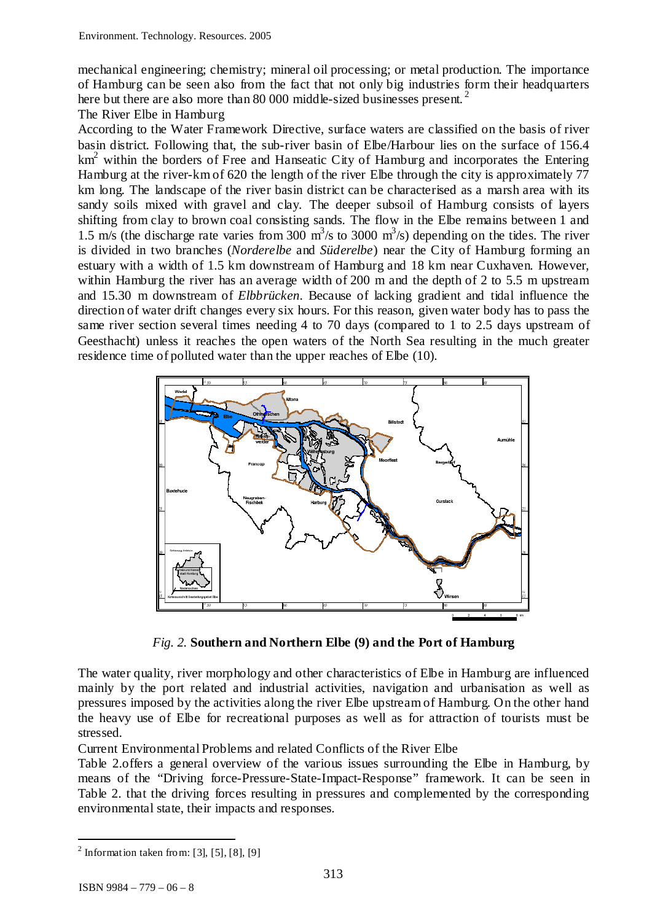mechanical engineering; chemistry; mineral oil processing; or metal production. The importance of Hamburg can be seen also from the fact that not only big industries form their headquarters here but there are also more than 80 000 middle-sized businesses present.<sup>[2](#page-3-0)</sup>

The River Elbe in Hamburg

According to the Water Framework Directive, surface waters are classified on the basis of river basin district. Following that, the sub-river basin of Elbe/Harbour lies on the surface of 156.4  $km<sup>2</sup>$  within the borders of Free and Hanseatic City of Hamburg and incorporates the Entering Hamburg at the river-km of 620 the length of the river Elbe through the city is approximately 77 km long. The landscape of the river basin district can be characterised as a marsh area with its sandy soils mixed with gravel and clay. The deeper subsoil of Hamburg consists of layers shifting from clay to brown coal consisting sands. The flow in the Elbe remains between 1 and 1.5 m/s (the discharge rate varies from 300  $\text{m}^3\text{/s}$  to 3000  $\text{m}^3\text{/s}$ ) depending on the tides. The river is divided in two branches (*Norderelbe* and *Süderelbe*) near the City of Hamburg forming an estuary with a width of 1.5 km downstream of Hamburg and 18 km near Cuxhaven. However, within Hamburg the river has an average width of 200 m and the depth of 2 to 5.5 m upstream and 15.30 m downstream of *Elbbrücken*. Because of lacking gradient and tidal influence the direction of water drift changes every six hours. For this reason, given water body has to pass the same river section several times needing 4 to 70 days (compared to 1 to 2.5 days upstream of Geesthacht) unless it reaches the open waters of the North Sea resulting in the much greater residence time of polluted water than the upper reaches of Elbe (10).



*Fig. 2.* **Southern and Northern Elbe (9) and the Port of Hamburg**

The water quality, river morphology and other characteristics of Elbe in Hamburg are influenced mainly by the port related and industrial activities, navigation and urbanisation as well as pressures imposed by the activities along the river Elbe upstream of Hamburg. On the other hand the heavy use of Elbe for recreational purposes as well as for attraction of tourists must be stressed.

Current Environmental Problems and related Conflicts of the River Elbe

Table 2.offers a general overview of the various issues surrounding the Elbe in Hamburg, by means of the "Driving force-Pressure-State-Impact-Response" framework. It can be seen in Table 2. that the driving forces resulting in pressures and complemented by the corresponding environmental state, their impacts and responses.

<span id="page-3-0"></span> $<sup>2</sup>$  Information taken from: [3], [5], [8], [9]</sup>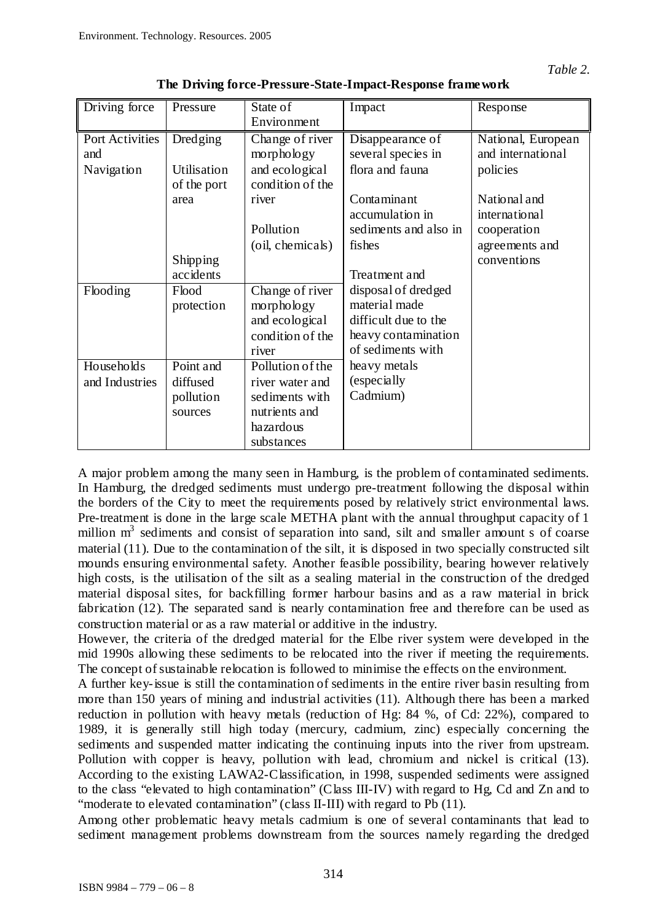| Driving force   | Pressure    | State of         | Impact                | Response           |
|-----------------|-------------|------------------|-----------------------|--------------------|
|                 |             | Environment      |                       |                    |
| Port Activities | Dredging    | Change of river  | Disappearance of      | National, European |
| and             |             | morphology       | several species in    | and international  |
| Navigation      | Utilisation | and ecological   | flora and fauna       | policies           |
|                 | of the port | condition of the |                       |                    |
|                 | area        | river            | Contaminant           | National and       |
|                 |             |                  | accumulation in       | international      |
|                 |             | Pollution        | sediments and also in | cooperation        |
|                 |             | (oil, chemicals) | fishes                | agreements and     |
|                 | Shipping    |                  |                       | conventions        |
|                 | accidents   |                  | Treatment and         |                    |
| Flooding        | Flood       | Change of river  | disposal of dredged   |                    |
|                 | protection  | morphology       | material made         |                    |
|                 |             | and ecological   | difficult due to the  |                    |
|                 |             | condition of the | heavy contamination   |                    |
|                 |             | river            | of sediments with     |                    |
| Households      | Point and   | Pollution of the | heavy metals          |                    |
| and Industries  | diffused    | river water and  | (especially           |                    |
|                 | pollution   | sediments with   | Cadmium)              |                    |
|                 | sources     | nutrients and    |                       |                    |
|                 |             | hazardous        |                       |                    |
|                 |             | substances       |                       |                    |

**The Driving force-Pressure-State-Impact-Response framework**

A major problem among the many seen in Hamburg, is the problem of contaminated sediments. In Hamburg, the dredged sediments must undergo pre-treatment following the disposal within the borders of the City to meet the requirements posed by relatively strict environmental laws. Pre-treatment is done in the large scale METHA plant with the annual throughput capacity of 1 million  $m<sup>3</sup>$  sediments and consist of separation into sand, silt and smaller amount s of coarse material (11). Due to the contamination of the silt, it is disposed in two specially constructed silt mounds ensuring environmental safety. Another feasible possibility, bearing however relatively high costs, is the utilisation of the silt as a sealing material in the construction of the dredged material disposal sites, for backfilling former harbour basins and as a raw material in brick fabrication (12). The separated sand is nearly contamination free and therefore can be used as construction material or as a raw material or additive in the industry.

However, the criteria of the dredged material for the Elbe river system were developed in the mid 1990s allowing these sediments to be relocated into the river if meeting the requirements. The concept of sustainable relocation is followed to minimise the effects on the environment.

A further key-issue is still the contamination of sediments in the entire river basin resulting from more than 150 years of mining and industrial activities (11). Although there has been a marked reduction in pollution with heavy metals (reduction of Hg: 84 %, of Cd: 22%), compared to 1989, it is generally still high today (mercury, cadmium, zinc) especially concerning the sediments and suspended matter indicating the continuing inputs into the river from upstream. Pollution with copper is heavy, pollution with lead, chromium and nickel is critical (13). According to the existing LAWA2-Classification, in 1998, suspended sediments were assigned to the class "elevated to high contamination" (Class III-IV) with regard to Hg, Cd and Zn and to "moderate to elevated contamination" (class II-III) with regard to Pb (11).

Among other problematic heavy metals cadmium is one of several contaminants that lead to sediment management problems downstream from the sources namely regarding the dredged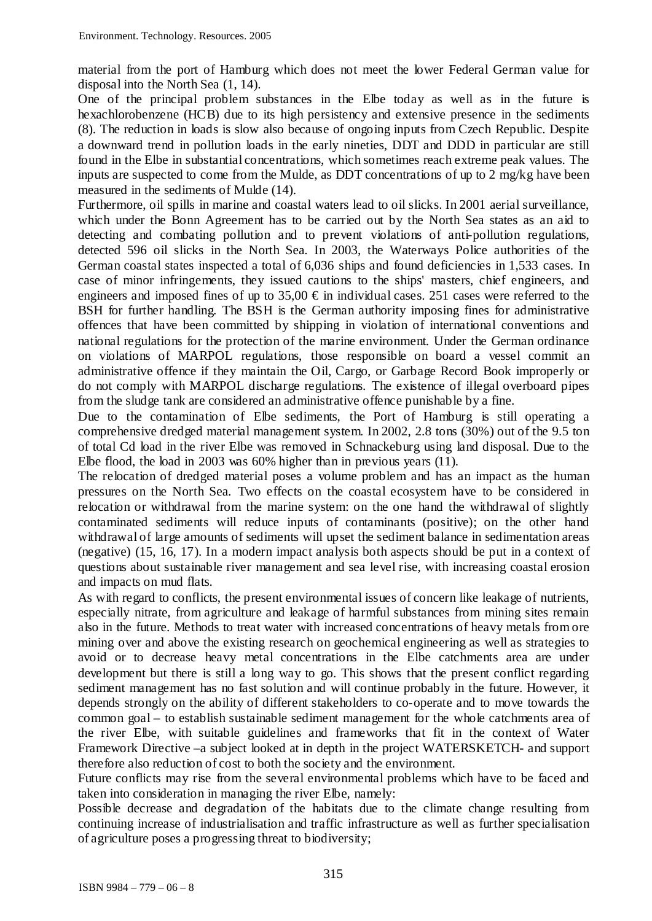material from the port of Hamburg which does not meet the lower Federal German value for disposal into the North Sea (1, 14).

One of the principal problem substances in the Elbe today as well as in the future is hexachlorobenzene (HCB) due to its high persistency and extensive presence in the sediments (8). The reduction in loads is slow also because of ongoing inputs from Czech Republic. Despite a downward trend in pollution loads in the early nineties, DDT and DDD in particular are still found in the Elbe in substantial concentrations, which sometimes reach extreme peak values. The inputs are suspected to come from the Mulde, as DDT concentrations of up to 2 mg/kg have been measured in the sediments of Mulde (14).

Furthermore, oil spills in marine and coastal waters lead to oil slicks. In 2001 aerial surveillance, which under the Bonn Agreement has to be carried out by the North Sea states as an aid to detecting and combating pollution and to prevent violations of anti-pollution regulations, detected 596 oil slicks in the North Sea. In 2003, the Waterways Police authorities of the German coastal states inspected a total of 6,036 ships and found deficiencies in 1,533 cases. In case of minor infringements, they issued cautions to the ships' masters, chief engineers, and engineers and imposed fines of up to 35,00  $\epsilon$  in individual cases. 251 cases were referred to the BSH for further handling. The BSH is the German authority imposing fines for administrative offences that have been committed by shipping in violation of international conventions and national regulations for the protection of the marine environment. Under the German ordinance on violations of MARPOL regulations, those responsible on board a vessel commit an administrative offence if they maintain the Oil, Cargo, or Garbage Record Book improperly or do not comply with MARPOL discharge regulations. The existence of illegal overboard pipes from the sludge tank are considered an administrative offence punishable by a fine.

Due to the contamination of Elbe sediments, the Port of Hamburg is still operating a comprehensive dredged material management system. In 2002, 2.8 tons (30%) out of the 9.5 ton of total Cd load in the river Elbe was removed in Schnackeburg using land disposal. Due to the Elbe flood, the load in 2003 was 60% higher than in previous years (11).

The relocation of dredged material poses a volume problem and has an impact as the human pressures on the North Sea. Two effects on the coastal ecosystem have to be considered in relocation or withdrawal from the marine system: on the one hand the withdrawal of slightly contaminated sediments will reduce inputs of contaminants (positive); on the other hand withdrawal of large amounts of sediments will upset the sediment balance in sedimentation areas (negative) (15, 16, 17). In a modern impact analysis both aspects should be put in a context of questions about sustainable river management and sea level rise, with increasing coastal erosion and impacts on mud flats.

As with regard to conflicts, the present environmental issues of concern like leakage of nutrients, especially nitrate, from agriculture and leakage of harmful substances from mining sites remain also in the future. Methods to treat water with increased concentrations of heavy metals from ore mining over and above the existing research on geochemical engineering as well as strategies to avoid or to decrease heavy metal concentrations in the Elbe catchments area are under development but there is still a long way to go. This shows that the present conflict regarding sediment management has no fast solution and will continue probably in the future. However, it depends strongly on the ability of different stakeholders to co-operate and to move towards the common goal – to establish sustainable sediment management for the whole catchments area of the river Elbe, with suitable guidelines and frameworks that fit in the context of Water Framework Directive –a subject looked at in depth in the project WATERSKETCH- and support therefore also reduction of cost to both the society and the environment.

Future conflicts may rise from the several environmental problems which have to be faced and taken into consideration in managing the river Elbe, namely:

Possible decrease and degradation of the habitats due to the climate change resulting from continuing increase of industrialisation and traffic infrastructure as well as further specialisation of agriculture poses a progressing threat to biodiversity;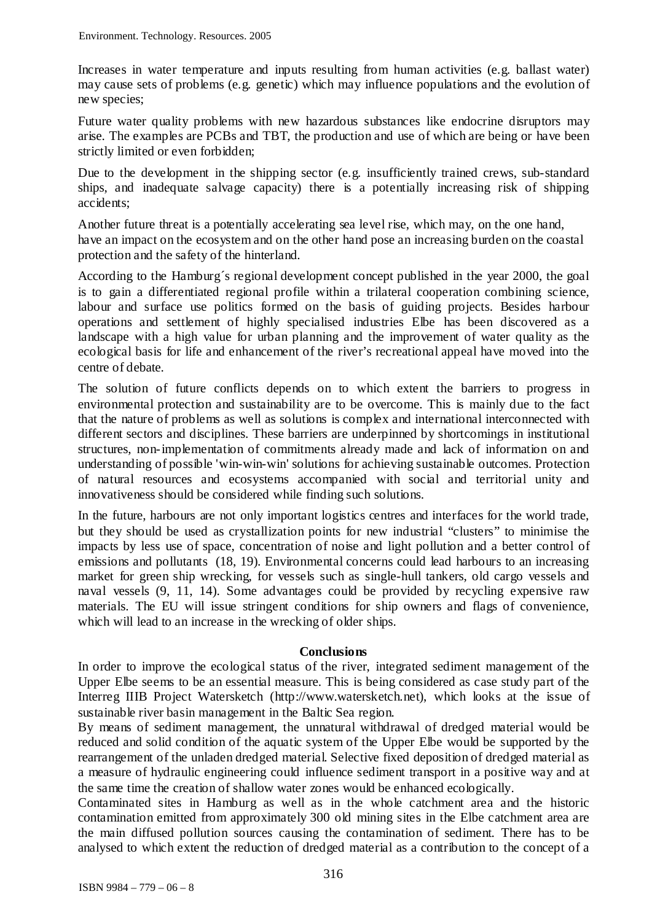Increases in water temperature and inputs resulting from human activities (e.g. ballast water) may cause sets of problems (e.g. genetic) which may influence populations and the evolution of new species;

Future water quality problems with new hazardous substances like endocrine disruptors may arise. The examples are PCBs and TBT, the production and use of which are being or have been strictly limited or even forbidden;

Due to the development in the shipping sector (e.g. insufficiently trained crews, sub-standard ships, and inadequate salvage capacity) there is a potentially increasing risk of shipping accidents;

Another future threat is a potentially accelerating sea level rise, which may, on the one hand, have an impact on the ecosystem and on the other hand pose an increasing burden on the coastal protection and the safety of the hinterland.

According to the Hamburg´s regional development concept published in the year 2000, the goal is to gain a differentiated regional profile within a trilateral cooperation combining science, labour and surface use politics formed on the basis of guiding projects. Besides harbour operations and settlement of highly specialised industries Elbe has been discovered as a landscape with a high value for urban planning and the improvement of water quality as the ecological basis for life and enhancement of the river's recreational appeal have moved into the centre of debate.

The solution of future conflicts depends on to which extent the barriers to progress in environmental protection and sustainability are to be overcome. This is mainly due to the fact that the nature of problems as well as solutions is complex and international interconnected with different sectors and disciplines. These barriers are underpinned by shortcomings in institutional structures, non-implementation of commitments already made and lack of information on and understanding of possible 'win-win-win' solutions for achieving sustainable outcomes. Protection of natural resources and ecosystems accompanied with social and territorial unity and innovativeness should be considered while finding such solutions.

In the future, harbours are not only important logistics centres and interfaces for the world trade, but they should be used as crystallization points for new industrial "clusters" to minimise the impacts by less use of space, concentration of noise and light pollution and a better control of emissions and pollutants (18, 19). Environmental concerns could lead harbours to an increasing market for green ship wrecking, for vessels such as single-hull tankers, old cargo vessels and naval vessels (9, 11, 14). Some advantages could be provided by recycling expensive raw materials. The EU will issue stringent conditions for ship owners and flags of convenience, which will lead to an increase in the wrecking of older ships.

### **Conclusions**

In order to improve the ecological status of the river, integrated sediment management of the Upper Elbe seems to be an essential measure. This is being considered as case study part of the Interreg IIIB Project Watersketch [\(http://www.watersketch.net\)](http://www.watersketch.net/), which looks at the issue of sustainable river basin management in the Baltic Sea region.

By means of sediment management, the unnatural withdrawal of dredged material would be reduced and solid condition of the aquatic system of the Upper Elbe would be supported by the rearrangement of the unladen dredged material. Selective fixed deposition of dredged material as a measure of hydraulic engineering could influence sediment transport in a positive way and at the same time the creation of shallow water zones would be enhanced ecologically.

Contaminated sites in Hamburg as well as in the whole catchment area and the historic contamination emitted from approximately 300 old mining sites in the Elbe catchment area are the main diffused pollution sources causing the contamination of sediment. There has to be analysed to which extent the reduction of dredged material as a contribution to the concept of a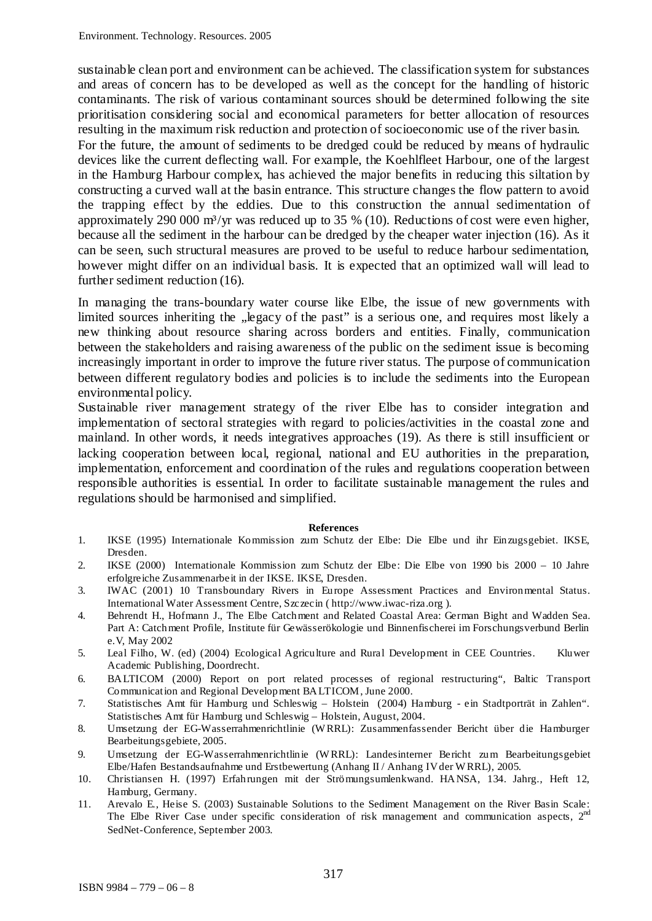sustainable clean port and environment can be achieved. The classification system for substances and areas of concern has to be developed as well as the concept for the handling of historic contaminants. The risk of various contaminant sources should be determined following the site prioritisation considering social and economical parameters for better allocation of resources resulting in the maximum risk reduction and protection of socioeconomic use of the river basin.

For the future, the amount of sediments to be dredged could be reduced by means of hydraulic devices like the current deflecting wall. For example, the Koehlfleet Harbour, one of the largest in the Hamburg Harbour complex, has achieved the major benefits in reducing this siltation by constructing a curved wall at the basin entrance. This structure changes the flow pattern to avoid the trapping effect by the eddies. Due to this construction the annual sedimentation of approximately 290 000 m<sup>3</sup>/yr was reduced up to 35 % (10). Reductions of cost were even higher, because all the sediment in the harbour can be dredged by the cheaper water injection (16). As it can be seen, such structural measures are proved to be useful to reduce harbour sedimentation, however might differ on an individual basis. It is expected that an optimized wall will lead to further sediment reduction (16).

In managing the trans-boundary water course like Elbe, the issue of new governments with limited sources inheriting the "legacy of the past" is a serious one, and requires most likely a new thinking about resource sharing across borders and entities. Finally, communication between the stakeholders and raising awareness of the public on the sediment issue is becoming increasingly important in order to improve the future river status. The purpose of communication between different regulatory bodies and policies is to include the sediments into the European environmental policy.

Sustainable river management strategy of the river Elbe has to consider integration and implementation of sectoral strategies with regard to policies/activities in the coastal zone and mainland. In other words, it needs integratives approaches (19). As there is still insufficient or lacking cooperation between local, regional, national and EU authorities in the preparation, implementation, enforcement and coordination of the rules and regulations cooperation between responsible authorities is essential. In order to facilitate sustainable management the rules and regulations should be harmonised and simplified.

#### **References**

- 1. IKSE (1995) Internationale Kommission zum Schutz der Elbe: Die Elbe und ihr Einzugsgebiet. IKSE, Dresden.
- 2. IKSE (2000) Internationale Kommission zum Schutz der Elbe: Die Elbe von 1990 bis 2000 10 Jahre erfolgreiche Zusammenarbeit in der IKSE. IKSE, Dresden.
- 3. IWAC (2001) 10 Transboundary Rivers in Europe Assessment Practices and Environmental Status. International Water Assessment Centre, Szczecin ( http://www.iwac-riza.org ).
- 4. Behrendt H., Hofmann J., The Elbe Catchment and Related Coastal Area: German Bight and Wadden Sea. Part A: Catchment Profile, Institute für Gewässerökologie und Binnenfischerei im Forschungsverbund Berlin e.V, May 2002
- 5. Leal Filho, W. (ed) (2004) Ecological Agriculture and Rural Development in CEE Countries. Kluwer Academic Publishing, Doordrecht.
- 6. BALTICOM (2000) Report on port related processes of regional restructuring", Baltic Transport Communication and Regional Development BALTICOM, June 2000.
- 7. Statistisches Amt für Hamburg und Schleswig Holstein (2004) Hamburg ein Stadtporträt in Zahlen". Statistisches Amt für Hamburg und Schleswig – Holstein, August, 2004.
- 8. Umsetzung der EG-Wasserrahmenrichtlinie (W RRL): Zusammenfassender Bericht über die Hamburger Bearbeitungsgebiete, 2005.
- 9. Umsetzung der EG-Wasserrahmenrichtlinie (W RRL): Landesinterner Bericht zum Bearbeitungsgebiet Elbe/Hafen Bestandsaufnahme und Erstbewertung (Anhang II / Anhang IV der W RRL), 2005.
- 10. Christiansen H. (1997) Erfahrungen mit der Strömungsumlenkwand. HANSA, 134. Jahrg., Heft 12, Hamburg, Germany.
- 11. Arevalo E., Heise S. (2003) Sustainable Solutions to the Sediment Management on the River Basin Scale: The Elbe River Case under specific consideration of risk management and communication aspects, 2<sup>nd</sup> SedNet-Conference, September 2003.